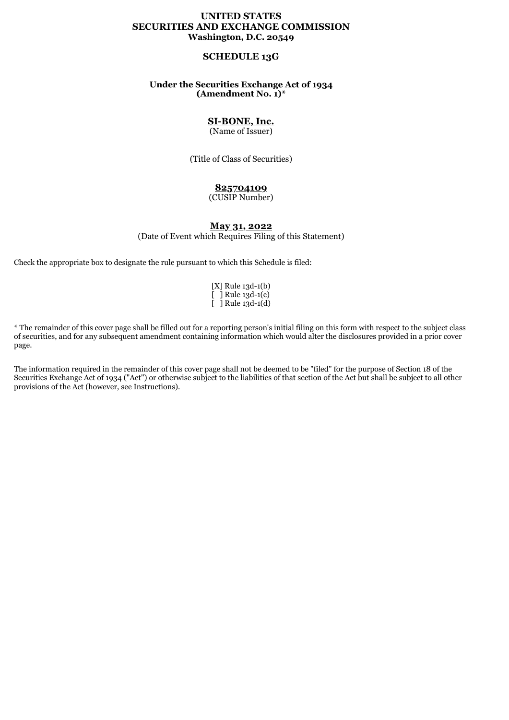## **UNITED STATES SECURITIES AND EXCHANGE COMMISSION Washington, D.C. 20549**

# **SCHEDULE 13G**

## **Under the Securities Exchange Act of 1934 (Amendment No. 1)\***

# **SI-BONE, Inc.**

(Name of Issuer)

(Title of Class of Securities)

## **825704109**

(CUSIP Number)

## **May 31, 2022**

(Date of Event which Requires Filing of this Statement)

Check the appropriate box to designate the rule pursuant to which this Schedule is filed:

[X] Rule 13d-1(b)  $\overline{[}$  ] Rule 13d-1(c)  $\overline{[}$  ] Rule 13d-1(d)

\* The remainder of this cover page shall be filled out for a reporting person's initial filing on this form with respect to the subject class of securities, and for any subsequent amendment containing information which would alter the disclosures provided in a prior cover page.

The information required in the remainder of this cover page shall not be deemed to be "filed" for the purpose of Section 18 of the Securities Exchange Act of 1934 ("Act") or otherwise subject to the liabilities of that section of the Act but shall be subject to all other provisions of the Act (however, see Instructions).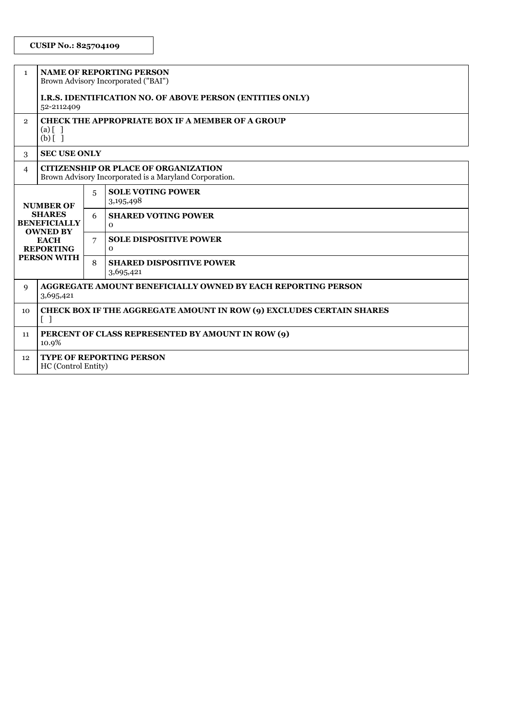## **CUSIP No.: 825704109**

| $\mathbf{1}$                                                                                                                         | <b>NAME OF REPORTING PERSON</b><br>Brown Advisory Incorporated ("BAI")                                    |   |                                              |  |  |  |
|--------------------------------------------------------------------------------------------------------------------------------------|-----------------------------------------------------------------------------------------------------------|---|----------------------------------------------|--|--|--|
|                                                                                                                                      | I.R.S. IDENTIFICATION NO. OF ABOVE PERSON (ENTITIES ONLY)<br>52-2112409                                   |   |                                              |  |  |  |
| $\mathbf{2}$                                                                                                                         | <b>CHECK THE APPROPRIATE BOX IF A MEMBER OF A GROUP</b><br>$(a)$ [ ]<br>$(b)$ [ ]                         |   |                                              |  |  |  |
| 3                                                                                                                                    | <b>SEC USE ONLY</b>                                                                                       |   |                                              |  |  |  |
| $\overline{4}$                                                                                                                       | <b>CITIZENSHIP OR PLACE OF ORGANIZATION</b><br>Brown Advisory Incorporated is a Maryland Corporation.     |   |                                              |  |  |  |
| <b>NUMBER OF</b><br><b>SHARES</b><br><b>BENEFICIALLY</b><br><b>OWNED BY</b><br><b>EACH</b><br><b>REPORTING</b><br><b>PERSON WITH</b> |                                                                                                           | 5 | <b>SOLE VOTING POWER</b><br>3,195,498        |  |  |  |
|                                                                                                                                      |                                                                                                           | 6 | <b>SHARED VOTING POWER</b><br>$\mathbf{O}$   |  |  |  |
|                                                                                                                                      |                                                                                                           | 7 | <b>SOLE DISPOSITIVE POWER</b><br>$\mathbf 0$ |  |  |  |
|                                                                                                                                      |                                                                                                           | 8 | <b>SHARED DISPOSITIVE POWER</b><br>3,695,421 |  |  |  |
| 9                                                                                                                                    | <b>AGGREGATE AMOUNT BENEFICIALLY OWNED BY EACH REPORTING PERSON</b><br>3,695,421                          |   |                                              |  |  |  |
| 10                                                                                                                                   | CHECK BOX IF THE AGGREGATE AMOUNT IN ROW (9) EXCLUDES CERTAIN SHARES<br>$\begin{bmatrix} 1 \end{bmatrix}$ |   |                                              |  |  |  |
| 11                                                                                                                                   | PERCENT OF CLASS REPRESENTED BY AMOUNT IN ROW (9)<br>10.9%                                                |   |                                              |  |  |  |
| 12                                                                                                                                   | <b>TYPE OF REPORTING PERSON</b><br>HC (Control Entity)                                                    |   |                                              |  |  |  |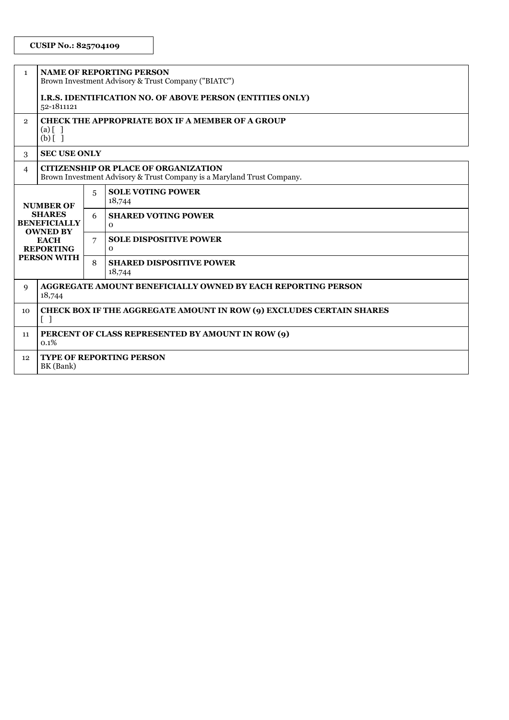## **CUSIP No.: 825704109**

| $\mathbf{1}$                                                                                                                         | <b>NAME OF REPORTING PERSON</b><br>Brown Investment Advisory & Trust Company ("BIATC")                                |   |                                               |  |  |  |
|--------------------------------------------------------------------------------------------------------------------------------------|-----------------------------------------------------------------------------------------------------------------------|---|-----------------------------------------------|--|--|--|
|                                                                                                                                      | I.R.S. IDENTIFICATION NO. OF ABOVE PERSON (ENTITIES ONLY)<br>52-1811121                                               |   |                                               |  |  |  |
| $\overline{2}$                                                                                                                       | <b>CHECK THE APPROPRIATE BOX IF A MEMBER OF A GROUP</b><br>$(a)$ $\begin{bmatrix} 1 \end{bmatrix}$<br>$(b)$ [ ]       |   |                                               |  |  |  |
| 3                                                                                                                                    | <b>SEC USE ONLY</b>                                                                                                   |   |                                               |  |  |  |
| $\overline{4}$                                                                                                                       | <b>CITIZENSHIP OR PLACE OF ORGANIZATION</b><br>Brown Investment Advisory & Trust Company is a Maryland Trust Company. |   |                                               |  |  |  |
| <b>NUMBER OF</b><br><b>SHARES</b><br><b>BENEFICIALLY</b><br><b>OWNED BY</b><br><b>EACH</b><br><b>REPORTING</b><br><b>PERSON WITH</b> |                                                                                                                       | 5 | <b>SOLE VOTING POWER</b><br>18,744            |  |  |  |
|                                                                                                                                      |                                                                                                                       | 6 | <b>SHARED VOTING POWER</b><br>$\mathbf{o}$    |  |  |  |
|                                                                                                                                      |                                                                                                                       | 7 | <b>SOLE DISPOSITIVE POWER</b><br>$\mathbf{O}$ |  |  |  |
|                                                                                                                                      |                                                                                                                       | 8 | <b>SHARED DISPOSITIVE POWER</b><br>18,744     |  |  |  |
| 9                                                                                                                                    | AGGREGATE AMOUNT BENEFICIALLY OWNED BY EACH REPORTING PERSON<br>18,744                                                |   |                                               |  |  |  |
| 10                                                                                                                                   | CHECK BOX IF THE AGGREGATE AMOUNT IN ROW (9) EXCLUDES CERTAIN SHARES<br>$\lceil$ 1                                    |   |                                               |  |  |  |
| 11                                                                                                                                   | PERCENT OF CLASS REPRESENTED BY AMOUNT IN ROW (9)<br>0.1%                                                             |   |                                               |  |  |  |
| 12                                                                                                                                   | <b>TYPE OF REPORTING PERSON</b><br>BK (Bank)                                                                          |   |                                               |  |  |  |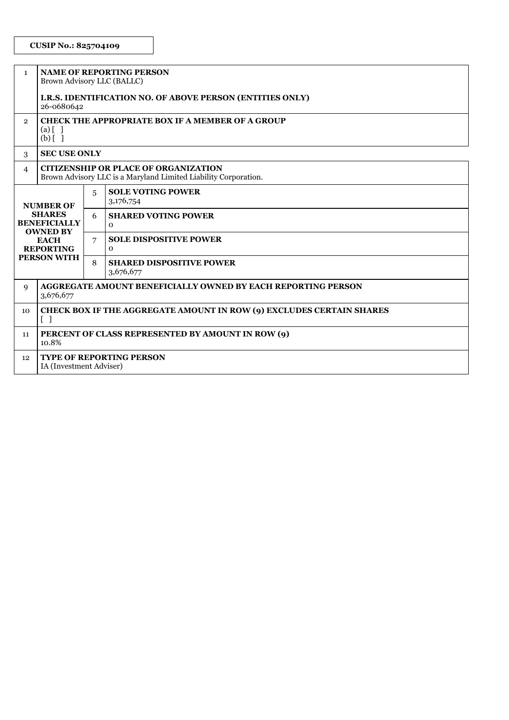| $\mathbf{1}$                                                                                                                         | <b>NAME OF REPORTING PERSON</b><br>Brown Advisory LLC (BALLC)                                                    |   |                                               |  |  |  |
|--------------------------------------------------------------------------------------------------------------------------------------|------------------------------------------------------------------------------------------------------------------|---|-----------------------------------------------|--|--|--|
|                                                                                                                                      | <b>I.R.S. IDENTIFICATION NO. OF ABOVE PERSON (ENTITIES ONLY)</b><br>26-0680642                                   |   |                                               |  |  |  |
| $\mathbf{2}$                                                                                                                         | <b>CHECK THE APPROPRIATE BOX IF A MEMBER OF A GROUP</b><br>$(a)$ [ ]<br>$(b)$ []                                 |   |                                               |  |  |  |
| 3                                                                                                                                    | <b>SEC USE ONLY</b>                                                                                              |   |                                               |  |  |  |
| $\overline{4}$                                                                                                                       | <b>CITIZENSHIP OR PLACE OF ORGANIZATION</b><br>Brown Advisory LLC is a Maryland Limited Liability Corporation.   |   |                                               |  |  |  |
| <b>NUMBER OF</b><br><b>SHARES</b><br><b>BENEFICIALLY</b><br><b>OWNED BY</b><br><b>EACH</b><br><b>REPORTING</b><br><b>PERSON WITH</b> |                                                                                                                  | 5 | <b>SOLE VOTING POWER</b><br>3,176,754         |  |  |  |
|                                                                                                                                      |                                                                                                                  | 6 | <b>SHARED VOTING POWER</b><br>$\mathbf{O}$    |  |  |  |
|                                                                                                                                      |                                                                                                                  | 7 | <b>SOLE DISPOSITIVE POWER</b><br>$\mathbf{O}$ |  |  |  |
|                                                                                                                                      |                                                                                                                  | 8 | <b>SHARED DISPOSITIVE POWER</b><br>3,676,677  |  |  |  |
| 9                                                                                                                                    | <b>AGGREGATE AMOUNT BENEFICIALLY OWNED BY EACH REPORTING PERSON</b><br>3,676,677                                 |   |                                               |  |  |  |
| 10 <sup>2</sup>                                                                                                                      | <b>CHECK BOX IF THE AGGREGATE AMOUNT IN ROW (9) EXCLUDES CERTAIN SHARES</b><br>$\begin{bmatrix} 1 \end{bmatrix}$ |   |                                               |  |  |  |
| 11                                                                                                                                   | PERCENT OF CLASS REPRESENTED BY AMOUNT IN ROW (9)<br>10.8%                                                       |   |                                               |  |  |  |
| 12                                                                                                                                   | <b>TYPE OF REPORTING PERSON</b><br>IA (Investment Adviser)                                                       |   |                                               |  |  |  |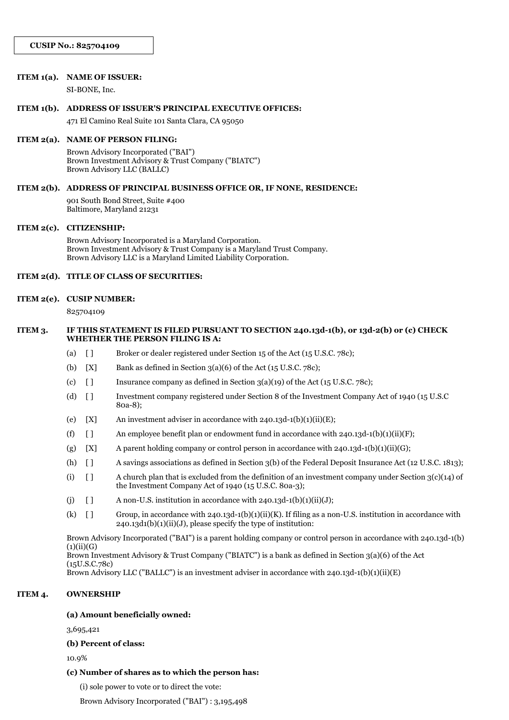#### **ITEM 1(a). NAME OF ISSUER:**

SI-BONE, Inc.

#### **ITEM 1(b). ADDRESS OF ISSUER'S PRINCIPAL EXECUTIVE OFFICES:**

471 El Camino Real Suite 101 Santa Clara, CA 95050

#### **ITEM 2(a). NAME OF PERSON FILING:**

Brown Advisory Incorporated ("BAI") Brown Investment Advisory & Trust Company ("BIATC") Brown Advisory LLC (BALLC)

#### **ITEM 2(b). ADDRESS OF PRINCIPAL BUSINESS OFFICE OR, IF NONE, RESIDENCE:**

901 South Bond Street, Suite #400 Baltimore, Maryland 21231

#### **ITEM 2(c). CITIZENSHIP:**

Brown Advisory Incorporated is a Maryland Corporation. Brown Investment Advisory & Trust Company is a Maryland Trust Company. Brown Advisory LLC is a Maryland Limited Liability Corporation.

## **ITEM 2(d). TITLE OF CLASS OF SECURITIES:**

#### **ITEM 2(e). CUSIP NUMBER:**

825704109

### **ITEM 3. IF THIS STATEMENT IS FILED PURSUANT TO SECTION 240.13d-1(b), or 13d-2(b) or (c) CHECK WHETHER THE PERSON FILING IS A:**

- (a) [ ] Broker or dealer registered under Section 15 of the Act (15 U.S.C. 78c);
- (b)  $[X]$  Bank as defined in Section 3(a)(6) of the Act (15 U.S.C. 78c);
- (c)  $\begin{bmatrix} \ 1 \end{bmatrix}$  Insurance company as defined in Section 3(a)(19) of the Act (15 U.S.C. 78c);
- (d) [ ] Investment company registered under Section 8 of the Investment Company Act of 1940 (15 U.S.C 80a-8);
- (e)  $[X]$  An investment adviser in accordance with 240.13d-1(b)(1)(ii)(E);
- (f)  $\left[ \right]$  An employee benefit plan or endowment fund in accordance with 240.13d-1(b)(1)(ii)(F);
- (g)  $[X]$  A parent holding company or control person in accordance with 240.13d-1(b)(1)(ii)(G);
- (h) [ ] A savings associations as defined in Section 3(b) of the Federal Deposit Insurance Act (12 U.S.C. 1813);
- (i)  $\lceil \rceil$  A church plan that is excluded from the definition of an investment company under Section 3(c)(14) of the Investment Company Act of 1940 (15 U.S.C. 80a-3);
- (j)  $\left[\right]$  A non-U.S. institution in accordance with 240.13d-1(b)(1)(ii)(J);
- (k)  $\left[ \right]$  Group, in accordance with 240.13d-1(b)(1)(ii)(K). If filing as a non-U.S. institution in accordance with 240.13d1(b)(1)(ii)(J), please specify the type of institution:

Brown Advisory Incorporated ("BAI") is a parent holding company or control person in accordance with 240.13d-1(b)  $(1)(ii)(G)$ 

Brown Investment Advisory & Trust Company ("BIATC") is a bank as defined in Section 3(a)(6) of the Act (15U.S.C.78c)

Brown Advisory LLC ("BALLC") is an investment adviser in accordance with  $240.13d-1(b)(1)(ii)(E)$ 

### **ITEM 4. OWNERSHIP**

#### **(a) Amount beneficially owned:**

3,695,421

**(b) Percent of class:**

10.9%

## **(c) Number of shares as to which the person has:**

(i) sole power to vote or to direct the vote:

Brown Advisory Incorporated ("BAI") : 3,195,498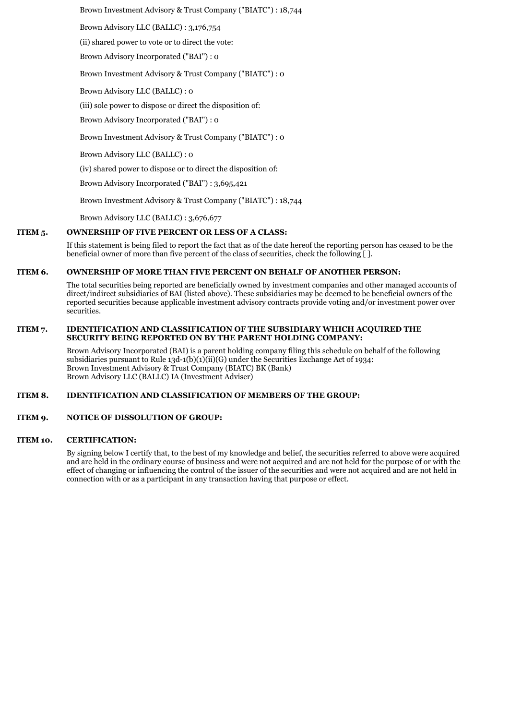Brown Investment Advisory & Trust Company ("BIATC") : 18,744

Brown Advisory LLC (BALLC) : 3,176,754

(ii) shared power to vote or to direct the vote:

Brown Advisory Incorporated ("BAI") : 0

Brown Investment Advisory & Trust Company ("BIATC") : 0

Brown Advisory LLC (BALLC) : 0

(iii) sole power to dispose or direct the disposition of:

Brown Advisory Incorporated ("BAI") : 0

Brown Investment Advisory & Trust Company ("BIATC") : 0

Brown Advisory LLC (BALLC) : 0

(iv) shared power to dispose or to direct the disposition of:

Brown Advisory Incorporated ("BAI") : 3,695,421

Brown Investment Advisory & Trust Company ("BIATC") : 18,744

Brown Advisory LLC (BALLC) : 3,676,677

#### **ITEM 5. OWNERSHIP OF FIVE PERCENT OR LESS OF A CLASS:**

If this statement is being filed to report the fact that as of the date hereof the reporting person has ceased to be the beneficial owner of more than five percent of the class of securities, check the following [ ].

### **ITEM 6. OWNERSHIP OF MORE THAN FIVE PERCENT ON BEHALF OF ANOTHER PERSON:**

The total securities being reported are beneficially owned by investment companies and other managed accounts of direct/indirect subsidiaries of BAI (listed above). These subsidiaries may be deemed to be beneficial owners of the reported securities because applicable investment advisory contracts provide voting and/or investment power over securities.

#### **ITEM 7. IDENTIFICATION AND CLASSIFICATION OF THE SUBSIDIARY WHICH ACQUIRED THE SECURITY BEING REPORTED ON BY THE PARENT HOLDING COMPANY:**

Brown Advisory Incorporated (BAI) is a parent holding company filing this schedule on behalf of the following subsidiaries pursuant to Rule 13d-1(b)(1)(ii)(G) under the Securities Exchange Act of 1934: Brown Investment Advisory & Trust Company (BIATC) BK (Bank) Brown Advisory LLC (BALLC) IA (Investment Adviser)

#### **ITEM 8. IDENTIFICATION AND CLASSIFICATION OF MEMBERS OF THE GROUP:**

## **ITEM 9. NOTICE OF DISSOLUTION OF GROUP:**

#### **ITEM 10. CERTIFICATION:**

By signing below I certify that, to the best of my knowledge and belief, the securities referred to above were acquired and are held in the ordinary course of business and were not acquired and are not held for the purpose of or with the effect of changing or influencing the control of the issuer of the securities and were not acquired and are not held in connection with or as a participant in any transaction having that purpose or effect.